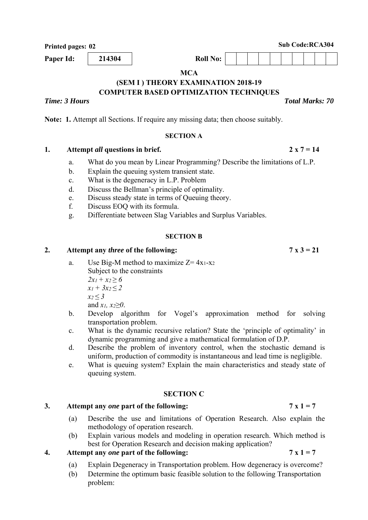**Printed pages: 02** Sub Code:RCA304

**Paper Id:** 214304 **Roll** No:

**MCA** 

#### **(SEM I ) THEORY EXAMINATION 2018-19 COMPUTER BASED OPTIMIZATION TECHNIQUES**

# *Time: 3 Hours Total Marks: 70*

**Note: 1.** Attempt all Sections. If require any missing data; then choose suitably.

### **SECTION A**

# 1. Attempt *all* questions in brief. 2 x  $7 = 14$

- a. What do you mean by Linear Programming? Describe the limitations of L.P.
- b. Explain the queuing system transient state.
- c. What is the degeneracy in L.P. Problem
- d. Discuss the Bellman's principle of optimality.
- e. Discuss steady state in terms of Queuing theory.
- f. Discuss EOQ with its formula.
- g. Differentiate between Slag Variables and Surplus Variables.

# **SECTION B**

### 2. Attempt any *three* of the following:  $7 \times 3 = 21$

- a. Use Big-M method to maximize  $Z=4x_1-x_2$ Subject to the constraints  $2x_1 + x_2 \ge 6$  $x_1 + 3x_2 < 2$ *x2 ≤ 3*  and *x1, x2≥0*.
- b. Develop algorithm for Vogel's approximation method for solving transportation problem.
- c. What is the dynamic recursive relation? State the 'principle of optimality' in dynamic programming and give a mathematical formulation of D.P.
- d. Describe the problem of inventory control, when the stochastic demand is uniform, production of commodity is instantaneous and lead time is negligible.
- e. What is queuing system? Explain the main characteristics and steady state of queuing system.

# **SECTION C**

# 3. Attempt any *one* part of the following:  $7 \times 1 = 7$

- (a) Describe the use and limitations of Operation Research. Also explain the methodology of operation research.
- (b) Explain various models and modeling in operation research. Which method is best for Operation Research and decision making application?

# **4.** Attempt any *one* part of the following:  $7 \times 1 = 7$

- (a) Explain Degeneracy in Transportation problem. How degeneracy is overcome?
- (b) Determine the optimum basic feasible solution to the following Transportation problem: